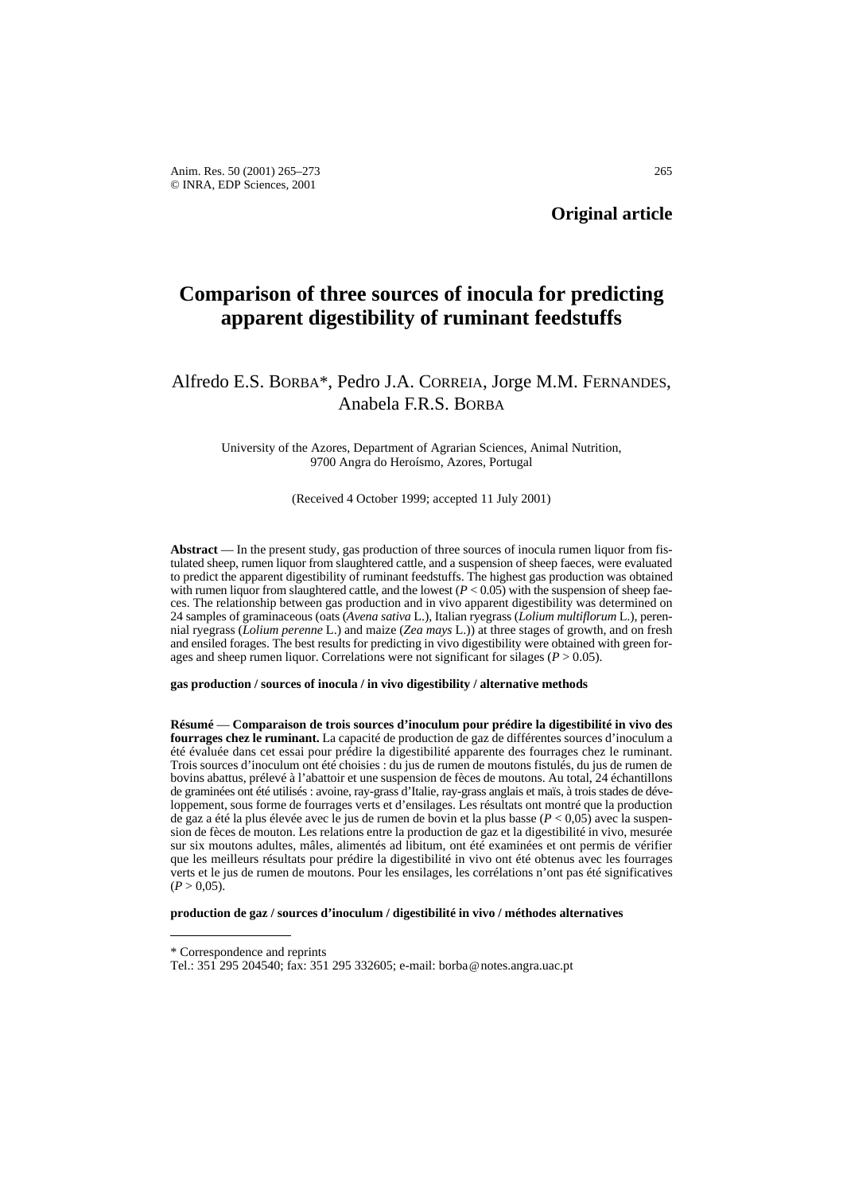# **Comparison of three sources of inocula for predicting apparent digestibility of ruminant feedstuffs**

## Alfredo E.S. BORBA\*, Pedro J.A. CORREIA, Jorge M.M. FERNANDES, Anabela F.R.S. BORBA

University of the Azores, Department of Agrarian Sciences, Animal Nutrition, 9700 Angra do Heroísmo, Azores, Portugal

(Received 4 October 1999; accepted 11 July 2001)

**Abstract** — In the present study, gas production of three sources of inocula rumen liquor from fistulated sheep, rumen liquor from slaughtered cattle, and a suspension of sheep faeces, were evaluated to predict the apparent digestibility of ruminant feedstuffs. The highest gas production was obtained with rumen liquor from slaughtered cattle, and the lowest  $(P < 0.05)$  with the suspension of sheep faeces. The relationship between gas production and in vivo apparent digestibility was determined on 24 samples of graminaceous (oats (*Avena sativa* L.), Italian ryegrass (*Lolium multiflorum* L.), perennial ryegrass (*Lolium perenne* L.) and maize (*Zea mays* L.)) at three stages of growth, and on fresh and ensiled forages. The best results for predicting in vivo digestibility were obtained with green forages and sheep rumen liquor. Correlations were not significant for silages (*P* > 0.05).

#### **gas production / sources of inocula / in vivo digestibility / alternative methods**

**Résumé** — **Comparaison de trois sources d'inoculum pour prédire la digestibilité in vivo des fourrages chez le ruminant.** La capacité de production de gaz de différentes sources d'inoculum a été évaluée dans cet essai pour prédire la digestibilité apparente des fourrages chez le ruminant. Trois sources d'inoculum ont été choisies : du jus de rumen de moutons fistulés, du jus de rumen de bovins abattus, prélevé à l'abattoir et une suspension de fèces de moutons. Au total, 24 échantillons de graminées ont été utilisés : avoine, ray-grass d'Italie, ray-grass anglais et maïs, à trois stades de développement, sous forme de fourrages verts et d'ensilages. Les résultats ont montré que la production de gaz a été la plus élevée avec le jus de rumen de bovin et la plus basse (*P* < 0,05) avec la suspension de fèces de mouton. Les relations entre la production de gaz et la digestibilité in vivo, mesurée sur six moutons adultes, mâles, alimentés ad libitum, ont été examinées et ont permis de vérifier que les meilleurs résultats pour prédire la digestibilité in vivo ont été obtenus avec les fourrages verts et le jus de rumen de moutons. Pour les ensilages, les corrélations n'ont pas été significatives  $(P > 0.05)$ .

**production de gaz / sources d'inoculum / digestibilité in vivo / méthodes alternatives**

<sup>\*</sup> Correspondence and reprints

Tel.: 351 295 204540; fax: 351 295 332605; e-mail: borba@notes.angra.uac.pt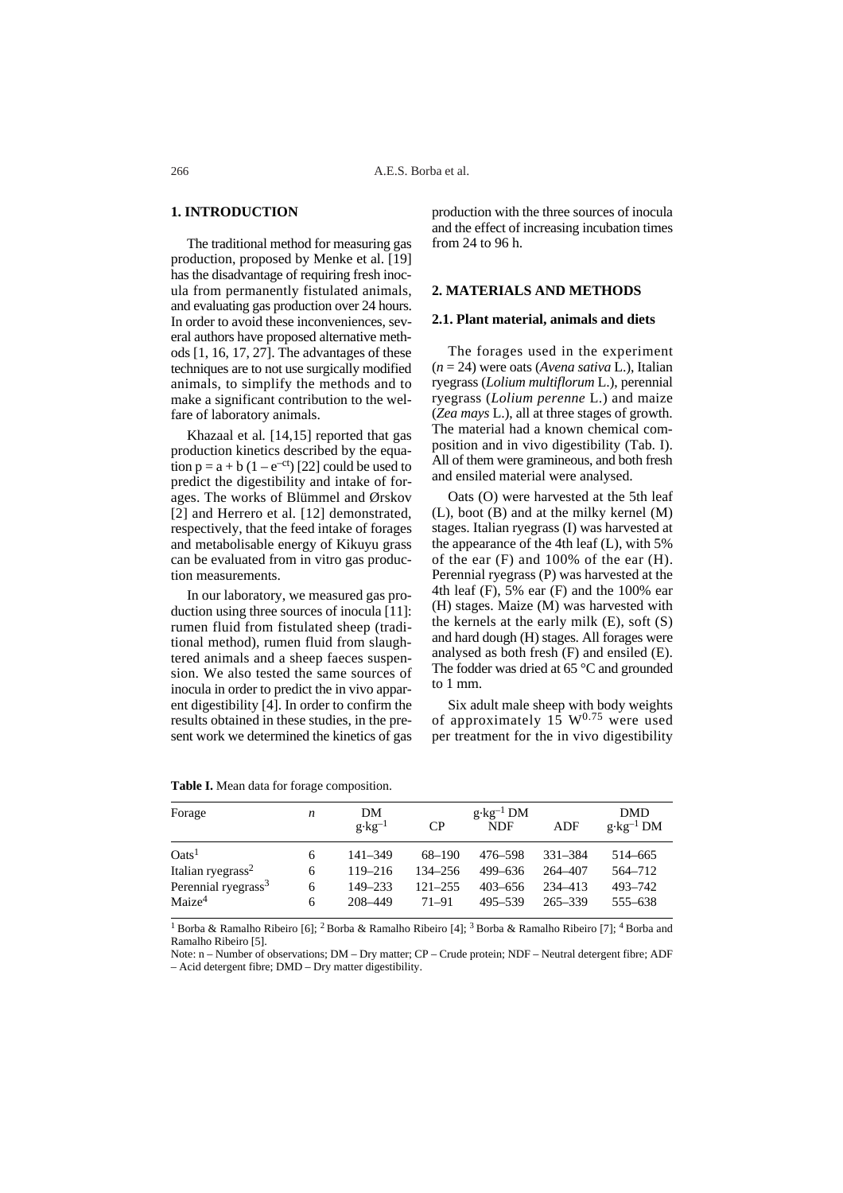#### **1. INTRODUCTION**

The traditional method for measuring gas production, proposed by Menke et al. [19] has the disadvantage of requiring fresh inocula from permanently fistulated animals, and evaluating gas production over 24 hours. In order to avoid these inconveniences, several authors have proposed alternative methods [1, 16, 17, 27]. The advantages of these techniques are to not use surgically modified animals, to simplify the methods and to make a significant contribution to the welfare of laboratory animals.

Khazaal et al*.* [14,15] reported that gas production kinetics described by the equation  $p = a + b (1 - e^{-ct})$  [22] could be used to predict the digestibility and intake of forages. The works of Blümmel and Ørskov [2] and Herrero et al. [12] demonstrated, respectively, that the feed intake of forages and metabolisable energy of Kikuyu grass can be evaluated from in vitro gas production measurements.

In our laboratory, we measured gas production using three sources of inocula [11]: rumen fluid from fistulated sheep (traditional method), rumen fluid from slaughtered animals and a sheep faeces suspension. We also tested the same sources of inocula in order to predict the in vivo apparent digestibility [4]. In order to confirm the results obtained in these studies, in the present work we determined the kinetics of gas production with the three sources of inocula and the effect of increasing incubation times from 24 to 96 h.

#### **2. MATERIALS AND METHODS**

#### **2.1. Plant material, animals and diets**

The forages used in the experiment (*n* = 24) were oats (*Avena sativa* L.), Italian ryegrass (*Lolium multiflorum* L.), perennial ryegrass (*Lolium perenne* L.) and maize (*Zea mays* L.), all at three stages of growth. The material had a known chemical composition and in vivo digestibility (Tab. I). All of them were gramineous, and both fresh and ensiled material were analysed.

Oats (O) were harvested at the 5th leaf (L), boot (B) and at the milky kernel (M) stages. Italian ryegrass (I) was harvested at the appearance of the 4th leaf (L), with 5% of the ear (F) and 100% of the ear (H). Perennial ryegrass (P) was harvested at the 4th leaf  $(F)$ , 5% ear  $(F)$  and the 100% ear (H) stages. Maize (M) was harvested with the kernels at the early milk (E), soft (S) and hard dough (H) stages. All forages were analysed as both fresh (F) and ensiled (E). The fodder was dried at 65 °C and grounded to 1 mm.

Six adult male sheep with body weights of approximately  $15 \text{ W}^{0.75}$  were used per treatment for the in vivo digestibility

| Forage                          | $\boldsymbol{n}$ | DM<br>$g \cdot kg^{-1}$ | CP          | $g \cdot kg^{-1}$ DM<br>ADF<br><b>NDF</b> |         |                      |
|---------------------------------|------------------|-------------------------|-------------|-------------------------------------------|---------|----------------------|
|                                 |                  |                         |             |                                           |         | $g \cdot kg^{-1}$ DM |
| $\text{Oats}^1$                 | 6                | $141 - 349$             | $68 - 190$  | 476–598                                   | 331-384 | 514-665              |
| Italian ryegrass <sup>2</sup>   | 6                | $119 - 216$             | $134 - 256$ | 499-636                                   | 264-407 | 564-712              |
| Perennial ryegrass <sup>3</sup> | 6                | $149 - 233$             | $121 - 255$ | $403 - 656$                               | 234-413 | 493-742              |
| Maize <sup>4</sup>              | 6                | 208-449                 | $71 - 91$   | 495–539                                   | 265–339 | 555-638              |

|  |  |  | Table I. Mean data for forage composition. |
|--|--|--|--------------------------------------------|

<sup>1</sup> Borba & Ramalho Ribeiro [6]; <sup>2</sup> Borba & Ramalho Ribeiro [4]; <sup>3</sup> Borba & Ramalho Ribeiro [7]; <sup>4</sup> Borba and Ramalho Ribeiro [5].

Note: n – Number of observations; DM – Dry matter; CP – Crude protein; NDF – Neutral detergent fibre; ADF – Acid detergent fibre; DMD – Dry matter digestibility.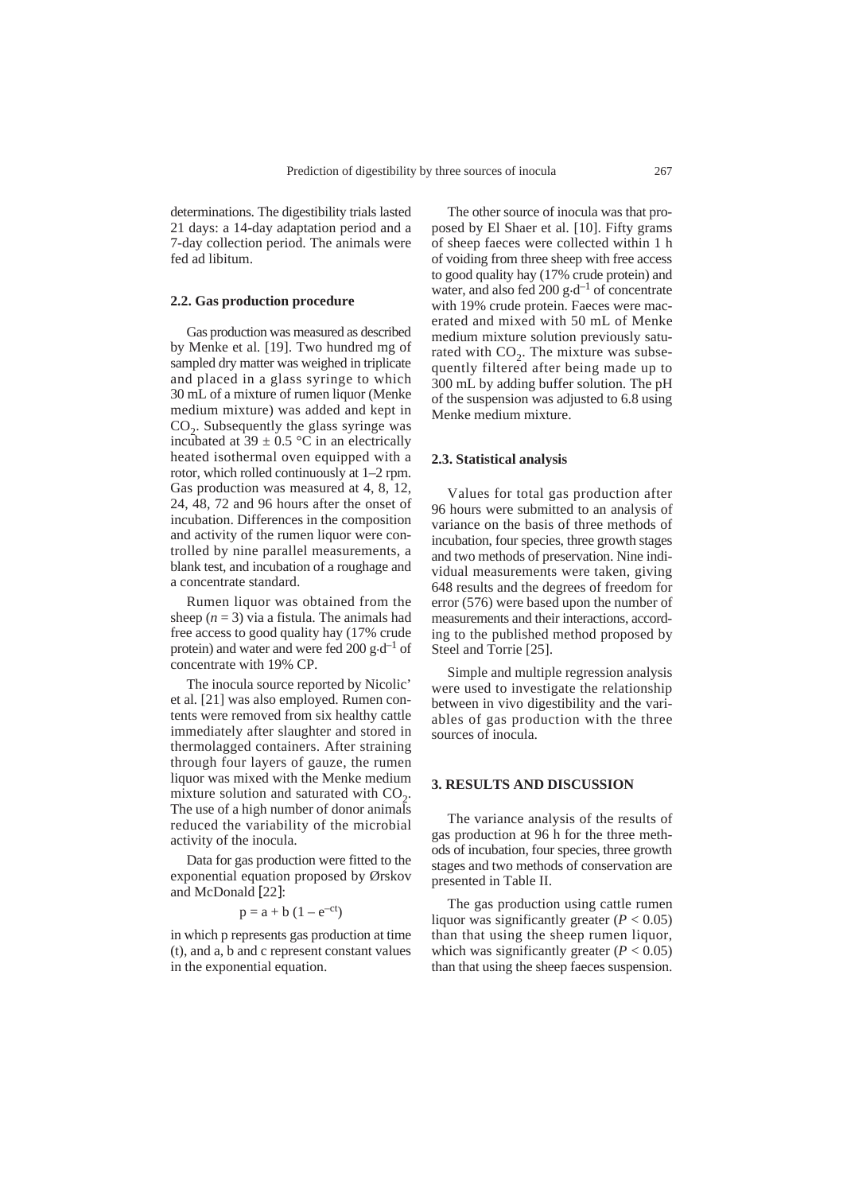determinations. The digestibility trials lasted 21 days: a 14-day adaptation period and a 7-day collection period. The animals were fed ad libitum.

#### **2.2. Gas production procedure**

Gas production was measured as described by Menke et al*.* [19]. Two hundred mg of sampled dry matter was weighed in triplicate and placed in a glass syringe to which 30 mL of a mixture of rumen liquor (Menke medium mixture) was added and kept in  $CO<sub>2</sub>$ . Subsequently the glass syringe was incubated at  $39 \pm 0.5$  °C in an electrically heated isothermal oven equipped with a rotor, which rolled continuously at 1–2 rpm. Gas production was measured at 4, 8, 12, 24, 48, 72 and 96 hours after the onset of incubation. Differences in the composition and activity of the rumen liquor were controlled by nine parallel measurements, a blank test, and incubation of a roughage and a concentrate standard.

Rumen liquor was obtained from the sheep  $(n = 3)$  via a fistula. The animals had free access to good quality hay (17% crude protein) and water and were fed 200 g $\cdot$ d<sup>-1</sup> of concentrate with 19% CP.

The inocula source reported by Nicolic' et al*.* [21] was also employed. Rumen contents were removed from six healthy cattle immediately after slaughter and stored in thermolagged containers. After straining through four layers of gauze, the rumen liquor was mixed with the Menke medium mixture solution and saturated with  $CO<sub>2</sub>$ . The use of a high number of donor animals reduced the variability of the microbial activity of the inocula.

Data for gas production were fitted to the exponential equation proposed by Ørskov and McDonald [22]:

$$
p = a + b \left(1 - e^{-ct}\right)
$$

in which p represents gas production at time (t), and a, b and c represent constant values in the exponential equation.

The other source of inocula was that proposed by El Shaer et al*.* [10]. Fifty grams of sheep faeces were collected within 1 h of voiding from three sheep with free access to good quality hay (17% crude protein) and water, and also fed 200  $g \cdot d^{-1}$  of concentrate with 19% crude protein. Faeces were macerated and mixed with 50 mL of Menke medium mixture solution previously saturated with  $CO<sub>2</sub>$ . The mixture was subsequently filtered after being made up to 300 mL by adding buffer solution. The pH of the suspension was adjusted to 6.8 using Menke medium mixture.

#### **2.3. Statistical analysis**

Values for total gas production after 96 hours were submitted to an analysis of variance on the basis of three methods of incubation, four species, three growth stages and two methods of preservation. Nine individual measurements were taken, giving 648 results and the degrees of freedom for error (576) were based upon the number of measurements and their interactions, according to the published method proposed by Steel and Torrie [25].

Simple and multiple regression analysis were used to investigate the relationship between in vivo digestibility and the variables of gas production with the three sources of inocula.

### **3. RESULTS AND DISCUSSION**

The variance analysis of the results of gas production at 96 h for the three methods of incubation, four species, three growth stages and two methods of conservation are presented in Table II.

The gas production using cattle rumen liquor was significantly greater  $(P < 0.05)$ than that using the sheep rumen liquor, which was significantly greater  $(P < 0.05)$ than that using the sheep faeces suspension.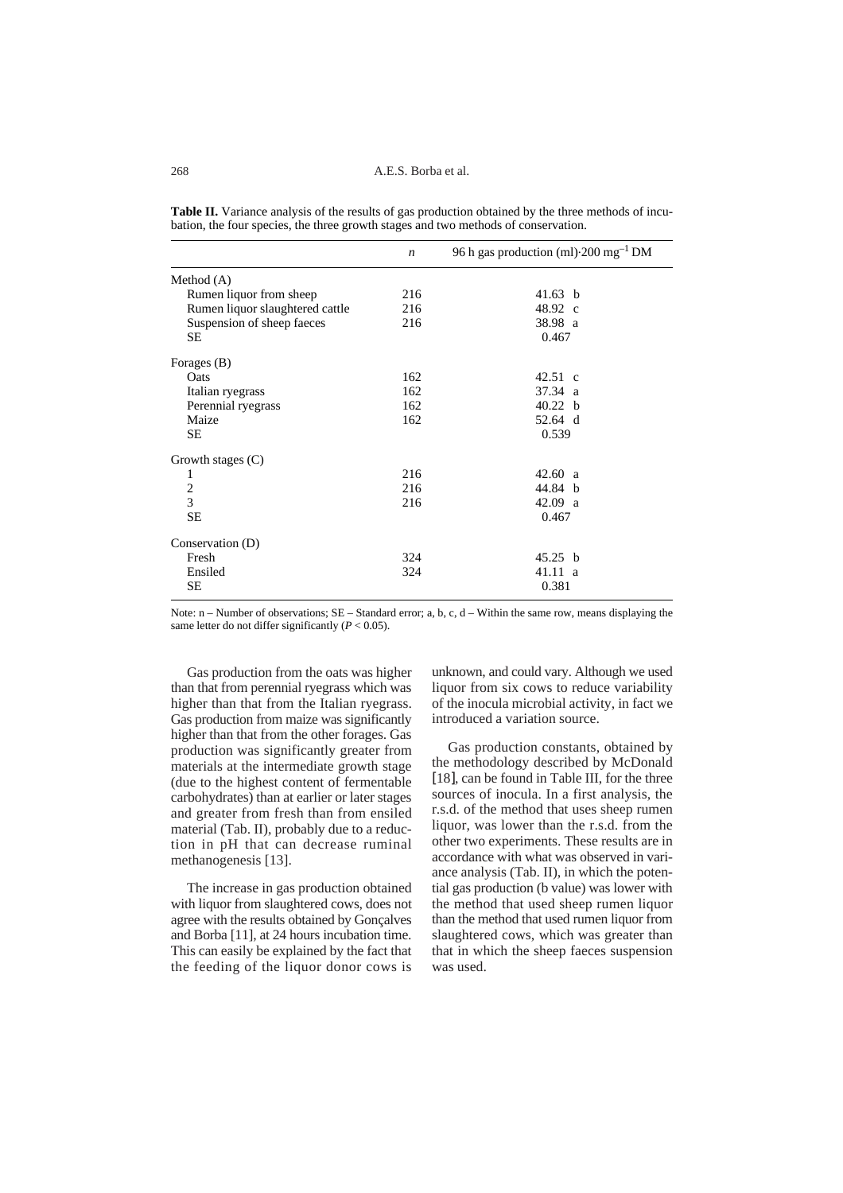|                                 | $\boldsymbol{n}$ | 96 h gas production (ml) $\cdot$ 200 mg <sup>-1</sup> DM |
|---------------------------------|------------------|----------------------------------------------------------|
| Method $(A)$                    |                  |                                                          |
| Rumen liquor from sheep         | 216              | 41.63 b                                                  |
| Rumen liquor slaughtered cattle | 216              | 48.92 c                                                  |
| Suspension of sheep faeces      | 216              | 38.98 a                                                  |
| SЕ                              |                  | 0.467                                                    |
| Forages (B)                     |                  |                                                          |
| Oats                            | 162              | $42.51 \text{ c}$                                        |
| Italian ryegrass                | 162              | $37.34 \text{ a}$                                        |
| Perennial ryegrass              | 162              | 40.22 <sub>b</sub>                                       |
| Maize                           | 162              | 52.64 d                                                  |
| <b>SE</b>                       |                  | 0.539                                                    |
| Growth stages $(C)$             |                  |                                                          |
| 1                               | 216              | 42.60 a                                                  |
| 2                               | 216              | 44.84 b                                                  |
| 3                               | 216              | 42.09 a                                                  |
| SЕ                              |                  | 0.467                                                    |
| Conservation (D)                |                  |                                                          |
| Fresh                           | 324              | 45.25 b                                                  |
| Ensiled                         | 324              | $41.11 \text{ a}$                                        |
| SE                              |                  | 0.381                                                    |

**Table II.** Variance analysis of the results of gas production obtained by the three methods of incubation, the four species, the three growth stages and two methods of conservation.

Note:  $n -$  Number of observations;  $SE -$  Standard error; a, b, c, d – Within the same row, means displaying the same letter do not differ significantly  $(P < 0.05)$ .

Gas production from the oats was higher than that from perennial ryegrass which was higher than that from the Italian ryegrass. Gas production from maize was significantly higher than that from the other forages. Gas production was significantly greater from materials at the intermediate growth stage (due to the highest content of fermentable carbohydrates) than at earlier or later stages and greater from fresh than from ensiled material (Tab. II), probably due to a reduction in pH that can decrease ruminal methanogenesis [13].

The increase in gas production obtained with liquor from slaughtered cows, does not agree with the results obtained by Gonçalves and Borba [11], at 24 hours incubation time. This can easily be explained by the fact that the feeding of the liquor donor cows is

unknown, and could vary. Although we used liquor from six cows to reduce variability of the inocula microbial activity, in fact we introduced a variation source.

Gas production constants, obtained by the methodology described by McDonald [18], can be found in Table III, for the three sources of inocula. In a first analysis, the r.s.d. of the method that uses sheep rumen liquor, was lower than the r.s.d. from the other two experiments. These results are in accordance with what was observed in variance analysis (Tab. II), in which the potential gas production (b value) was lower with the method that used sheep rumen liquor than the method that used rumen liquor from slaughtered cows, which was greater than that in which the sheep faeces suspension was used.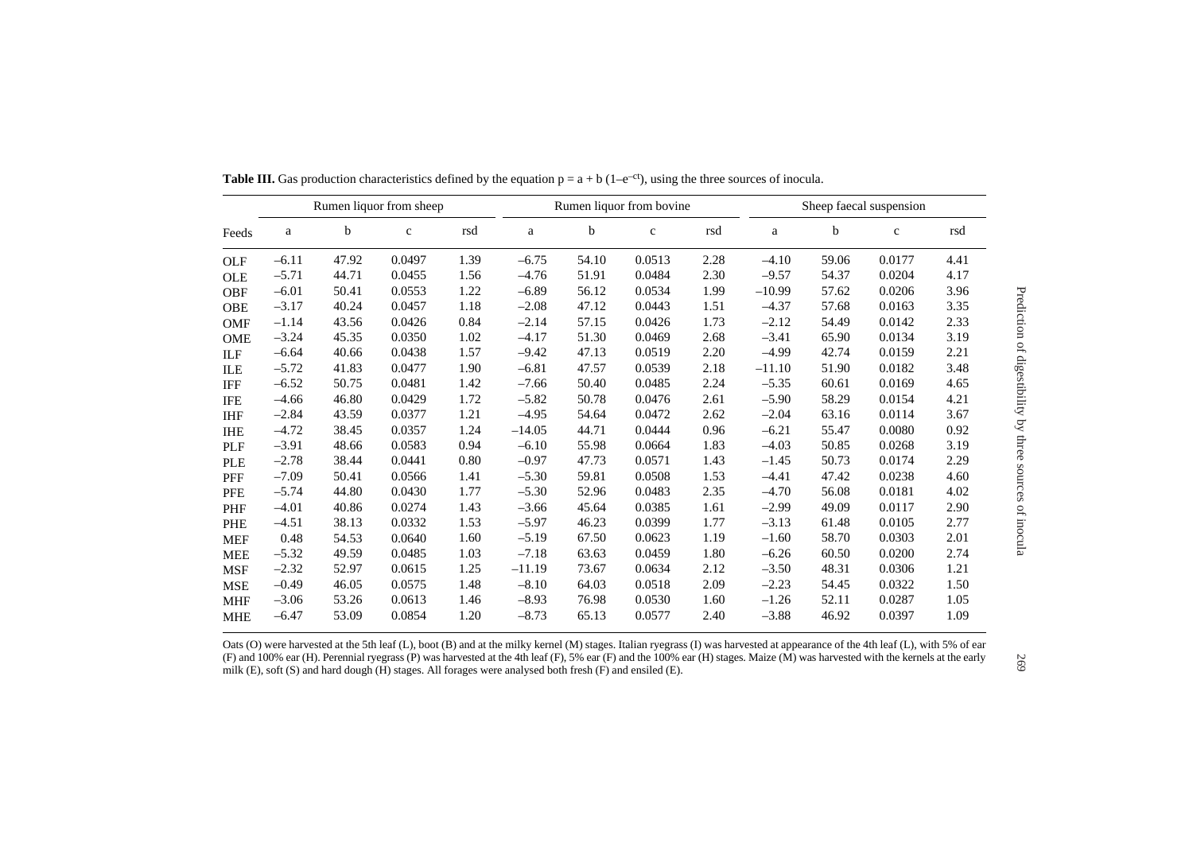| Rumen liquor from sheep |         |       |             | Rumen liquor from bovine |          |             |              | Sheep faecal suspension |          |       |             |      |
|-------------------------|---------|-------|-------------|--------------------------|----------|-------------|--------------|-------------------------|----------|-------|-------------|------|
| Feeds                   | a       | b     | $\mathbf c$ | rsd                      | a        | $\mathbf b$ | $\mathbf{c}$ | rsd                     | a        | b     | $\mathbf c$ | rsd  |
| <b>OLF</b>              | $-6.11$ | 47.92 | 0.0497      | 1.39                     | $-6.75$  | 54.10       | 0.0513       | 2.28                    | $-4.10$  | 59.06 | 0.0177      | 4.41 |
| <b>OLE</b>              | $-5.71$ | 44.71 | 0.0455      | 1.56                     | $-4.76$  | 51.91       | 0.0484       | 2.30                    | $-9.57$  | 54.37 | 0.0204      | 4.17 |
| <b>OBF</b>              | $-6.01$ | 50.41 | 0.0553      | 1.22                     | $-6.89$  | 56.12       | 0.0534       | 1.99                    | $-10.99$ | 57.62 | 0.0206      | 3.96 |
| <b>OBE</b>              | $-3.17$ | 40.24 | 0.0457      | 1.18                     | $-2.08$  | 47.12       | 0.0443       | 1.51                    | $-4.37$  | 57.68 | 0.0163      | 3.35 |
| <b>OMF</b>              | $-1.14$ | 43.56 | 0.0426      | 0.84                     | $-2.14$  | 57.15       | 0.0426       | 1.73                    | $-2.12$  | 54.49 | 0.0142      | 2.33 |
| <b>OME</b>              | $-3.24$ | 45.35 | 0.0350      | 1.02                     | $-4.17$  | 51.30       | 0.0469       | 2.68                    | $-3.41$  | 65.90 | 0.0134      | 3.19 |
| ILF                     | $-6.64$ | 40.66 | 0.0438      | 1.57                     | $-9.42$  | 47.13       | 0.0519       | 2.20                    | $-4.99$  | 42.74 | 0.0159      | 2.21 |
| ILE                     | $-5.72$ | 41.83 | 0.0477      | 1.90                     | $-6.81$  | 47.57       | 0.0539       | 2.18                    | $-11.10$ | 51.90 | 0.0182      | 3.48 |
| <b>IFF</b>              | $-6.52$ | 50.75 | 0.0481      | 1.42                     | $-7.66$  | 50.40       | 0.0485       | 2.24                    | $-5.35$  | 60.61 | 0.0169      | 4.65 |
| <b>IFE</b>              | $-4.66$ | 46.80 | 0.0429      | 1.72                     | $-5.82$  | 50.78       | 0.0476       | 2.61                    | $-5.90$  | 58.29 | 0.0154      | 4.21 |
| <b>IHF</b>              | $-2.84$ | 43.59 | 0.0377      | 1.21                     | $-4.95$  | 54.64       | 0.0472       | 2.62                    | $-2.04$  | 63.16 | 0.0114      | 3.67 |
| <b>IHE</b>              | $-4.72$ | 38.45 | 0.0357      | 1.24                     | $-14.05$ | 44.71       | 0.0444       | 0.96                    | $-6.21$  | 55.47 | 0.0080      | 0.92 |
| <b>PLF</b>              | $-3.91$ | 48.66 | 0.0583      | 0.94                     | $-6.10$  | 55.98       | 0.0664       | 1.83                    | $-4.03$  | 50.85 | 0.0268      | 3.19 |
| <b>PLE</b>              | $-2.78$ | 38.44 | 0.0441      | 0.80                     | $-0.97$  | 47.73       | 0.0571       | 1.43                    | $-1.45$  | 50.73 | 0.0174      | 2.29 |
| PFF                     | $-7.09$ | 50.41 | 0.0566      | 1.41                     | $-5.30$  | 59.81       | 0.0508       | 1.53                    | $-4.41$  | 47.42 | 0.0238      | 4.60 |
| <b>PFE</b>              | $-5.74$ | 44.80 | 0.0430      | 1.77                     | $-5.30$  | 52.96       | 0.0483       | 2.35                    | $-4.70$  | 56.08 | 0.0181      | 4.02 |
| PHF                     | $-4.01$ | 40.86 | 0.0274      | 1.43                     | $-3.66$  | 45.64       | 0.0385       | 1.61                    | $-2.99$  | 49.09 | 0.0117      | 2.90 |
| <b>PHE</b>              | $-4.51$ | 38.13 | 0.0332      | 1.53                     | $-5.97$  | 46.23       | 0.0399       | 1.77                    | $-3.13$  | 61.48 | 0.0105      | 2.77 |
| <b>MEF</b>              | 0.48    | 54.53 | 0.0640      | 1.60                     | $-5.19$  | 67.50       | 0.0623       | 1.19                    | $-1.60$  | 58.70 | 0.0303      | 2.01 |
| <b>MEE</b>              | $-5.32$ | 49.59 | 0.0485      | 1.03                     | $-7.18$  | 63.63       | 0.0459       | 1.80                    | $-6.26$  | 60.50 | 0.0200      | 2.74 |
| <b>MSF</b>              | $-2.32$ | 52.97 | 0.0615      | 1.25                     | $-11.19$ | 73.67       | 0.0634       | 2.12                    | $-3.50$  | 48.31 | 0.0306      | 1.21 |
| <b>MSE</b>              | $-0.49$ | 46.05 | 0.0575      | 1.48                     | $-8.10$  | 64.03       | 0.0518       | 2.09                    | $-2.23$  | 54.45 | 0.0322      | 1.50 |
| <b>MHF</b>              | $-3.06$ | 53.26 | 0.0613      | 1.46                     | $-8.93$  | 76.98       | 0.0530       | 1.60                    | $-1.26$  | 52.11 | 0.0287      | 1.05 |
| <b>MHE</b>              | $-6.47$ | 53.09 | 0.0854      | 1.20                     | $-8.73$  | 65.13       | 0.0577       | 2.40                    | $-3.88$  | 46.92 | 0.0397      | 1.09 |

**Table III.** Gas production characteristics defined by the equation  $p = a + b$  (1–e<sup>-ct</sup>), using the three sources of inocula.

Oats (O) were harvested at the 5th leaf (L), boot (B) and at the milky kernel (M) stages. Italian ryegrass (I) was harvested at appearance of the 4th leaf (L), with 5% of ear (F) and 100% ear (H). Perennial ryegrass (P) was harvested at the 4th leaf (F), 5% ear (F) and the 100% ear (H) stages. Maize (M) was harvested with the kernels at the early milk (E), soft (S) and hard dough (H) stages. All forages were analysed both fresh (F) and ensiled (E).

Prediction of digestibility by three sources of inocula

Prediction of digestibility by three sources of inocula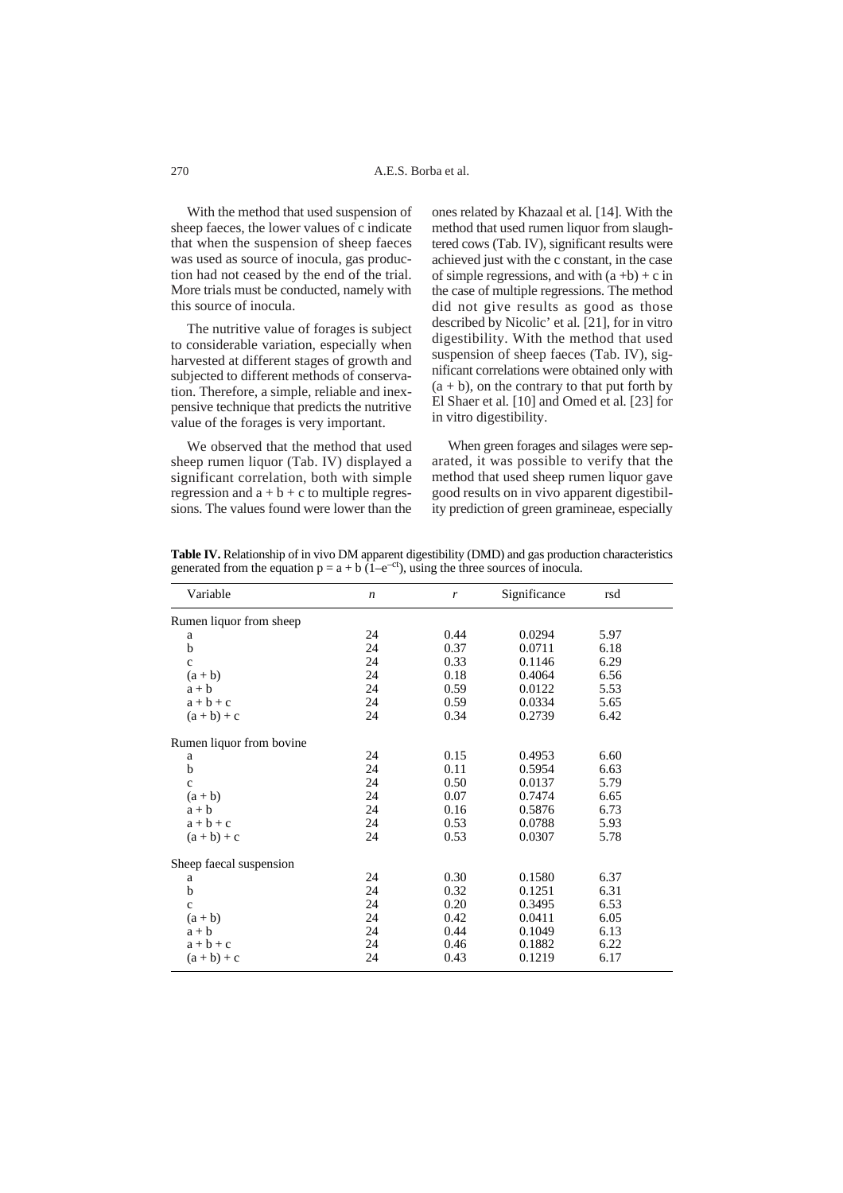With the method that used suspension of sheep faeces, the lower values of c indicate that when the suspension of sheep faeces was used as source of inocula, gas production had not ceased by the end of the trial. More trials must be conducted, namely with this source of inocula.

The nutritive value of forages is subject to considerable variation, especially when harvested at different stages of growth and subjected to different methods of conservation. Therefore, a simple, reliable and inexpensive technique that predicts the nutritive value of the forages is very important.

We observed that the method that used sheep rumen liquor (Tab. IV) displayed a significant correlation, both with simple regression and  $a + b + c$  to multiple regressions. The values found were lower than the

ones related by Khazaal et al*.* [14]. With the method that used rumen liquor from slaughtered cows (Tab. IV), significant results were achieved just with the c constant, in the case of simple regressions, and with  $(a + b) + c$  in the case of multiple regressions. The method did not give results as good as those described by Nicolic' et al*.* [21], for in vitro digestibility. With the method that used suspension of sheep faeces (Tab. IV), significant correlations were obtained only with  $(a + b)$ , on the contrary to that put forth by El Shaer et al*.* [10] and Omed et al*.* [23] for in vitro digestibility.

When green forages and silages were separated, it was possible to verify that the method that used sheep rumen liquor gave good results on in vivo apparent digestibility prediction of green gramineae, especially

**Table IV.** Relationship of in vivo DM apparent digestibility (DMD) and gas production characteristics generated from the equation  $p = a + b(1-e^{-ct})$ , using the three sources of inocula.

| Variable                 | $\boldsymbol{n}$ | r    | Significance | rsd  |  |
|--------------------------|------------------|------|--------------|------|--|
| Rumen liquor from sheep  |                  |      |              |      |  |
| a                        | 24               | 0.44 | 0.0294       | 5.97 |  |
| b                        | 24               | 0.37 | 0.0711       | 6.18 |  |
| $\mathbf{C}$             | 24               | 0.33 | 0.1146       | 6.29 |  |
| $(a + b)$                | 24               | 0.18 | 0.4064       | 6.56 |  |
| $a + b$                  | 24               | 0.59 | 0.0122       | 5.53 |  |
| $a + b + c$              | 24               | 0.59 | 0.0334       | 5.65 |  |
| $(a + b) + c$            | 24               | 0.34 | 0.2739       | 6.42 |  |
| Rumen liquor from bovine |                  |      |              |      |  |
| a                        | 24               | 0.15 | 0.4953       | 6.60 |  |
| b                        | 24               | 0.11 | 0.5954       | 6.63 |  |
| $\mathbf{C}$             | 24               | 0.50 | 0.0137       | 5.79 |  |
| $(a + b)$                | 24               | 0.07 | 0.7474       | 6.65 |  |
| $a + b$                  | 24               | 0.16 | 0.5876       | 6.73 |  |
| $a + b + c$              | 24               | 0.53 | 0.0788       | 5.93 |  |
| $(a + b) + c$            | 24               | 0.53 | 0.0307       | 5.78 |  |
| Sheep faecal suspension  |                  |      |              |      |  |
| a                        | 24               | 0.30 | 0.1580       | 6.37 |  |
| b                        | 24               | 0.32 | 0.1251       | 6.31 |  |
| $\mathbf{C}$             | 24               | 0.20 | 0.3495       | 6.53 |  |
| $(a + b)$                | 24               | 0.42 | 0.0411       | 6.05 |  |
| $a + b$                  | 24               | 0.44 | 0.1049       | 6.13 |  |
| $a + b + c$              | 24               | 0.46 | 0.1882       | 6.22 |  |
| $(a + b) + c$            | 24               | 0.43 | 0.1219       | 6.17 |  |

270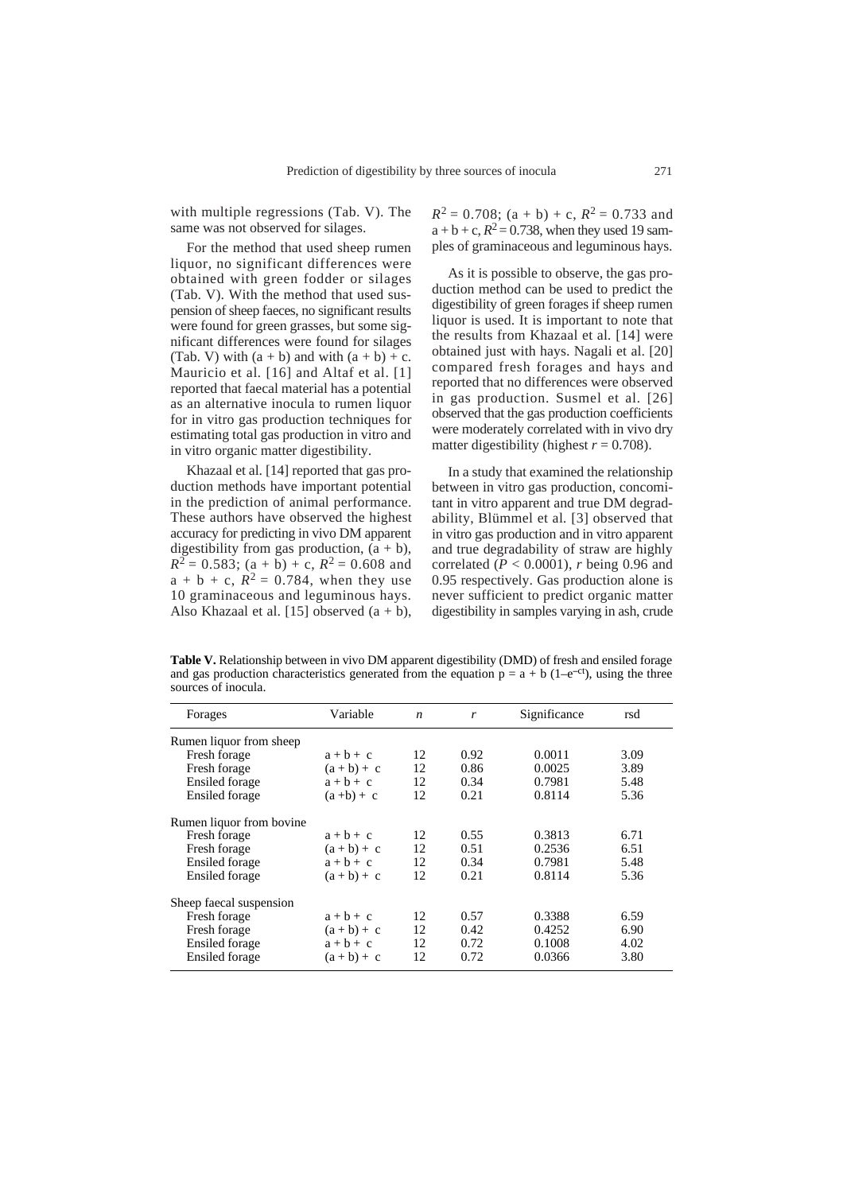with multiple regressions (Tab. V). The same was not observed for silages.

For the method that used sheep rumen liquor, no significant differences were obtained with green fodder or silages (Tab. V). With the method that used suspension of sheep faeces, no significant results were found for green grasses, but some significant differences were found for silages (Tab. V) with  $(a + b)$  and with  $(a + b) + c$ . Mauricio et al. [16] and Altaf et al. [1] reported that faecal material has a potential as an alternative inocula to rumen liquor for in vitro gas production techniques for estimating total gas production in vitro and in vitro organic matter digestibility.

Khazaal et al. [14] reported that gas production methods have important potential in the prediction of animal performance. These authors have observed the highest accuracy for predicting in vivo DM apparent digestibility from gas production,  $(a + b)$ ,  $R^2 = 0.583$ ; (a + b) + c,  $R^2 = 0.608$  and  $a + b + c$ ,  $R^2 = 0.784$ , when they use 10 graminaceous and leguminous hays. Also Khazaal et al. [15] observed  $(a + b)$ ,

 $R^2 = 0.708$ ; (a + b) + c,  $R^2 = 0.733$  and  $a + b + c$ ,  $R^2 = 0.738$ , when they used 19 samples of graminaceous and leguminous hays.

As it is possible to observe, the gas production method can be used to predict the digestibility of green forages if sheep rumen liquor is used. It is important to note that the results from Khazaal et al*.* [14] were obtained just with hays. Nagali et al. [20] compared fresh forages and hays and reported that no differences were observed in gas production. Susmel et al*.* [26] observed that the gas production coefficients were moderately correlated with in vivo dry matter digestibility (highest  $r = 0.708$ ).

In a study that examined the relationship between in vitro gas production, concomitant in vitro apparent and true DM degradability, Blümmel et al*.* [3] observed that in vitro gas production and in vitro apparent and true degradability of straw are highly correlated  $(P < 0.0001)$ , *r* being 0.96 and 0.95 respectively. Gas production alone is never sufficient to predict organic matter digestibility in samples varying in ash, crude

**Table V.** Relationship between in vivo DM apparent digestibility (DMD) of fresh and ensiled forage and gas production characteristics generated from the equation  $p = a + b$  (1–e<sup>-ct</sup>), using the three sources of inocula.

| Forages                   | Variable      | $\boldsymbol{n}$ | r    | Significance | rsd  |
|---------------------------|---------------|------------------|------|--------------|------|
| Rumen liquor from sheep   |               |                  |      |              |      |
| Fresh forage              | $a + b + c$   | 12               | 0.92 | 0.0011       | 3.09 |
| Fresh forage              | $(a + b) + c$ | 12               | 0.86 | 0.0025       | 3.89 |
| Ensiled forage            | $a + b + c$   | 12               | 0.34 | 0.7981       | 5.48 |
| <b>Ensiled</b> forage     | $(a+b)+c$     | 12               | 0.21 | 0.8114       | 5.36 |
| Rumen liquor from bovine. |               |                  |      |              |      |
| Fresh forage              | $a + b + c$   | 12               | 0.55 | 0.3813       | 6.71 |
| Fresh forage              | $(a + b) + c$ | 12               | 0.51 | 0.2536       | 6.51 |
| Ensiled forage            | $a + b + c$   | 12               | 0.34 | 0.7981       | 5.48 |
| <b>Ensiled</b> forage     | $(a + b) + c$ | 12               | 0.21 | 0.8114       | 5.36 |
| Sheep faecal suspension   |               |                  |      |              |      |
| Fresh forage              | $a + b + c$   | 12               | 0.57 | 0.3388       | 6.59 |
| Fresh forage              | $(a + b) + c$ | 12               | 0.42 | 0.4252       | 6.90 |
| Ensiled forage            | $a + b + c$   | 12               | 0.72 | 0.1008       | 4.02 |
| Ensiled forage            | $(a + b) + c$ | 12               | 0.72 | 0.0366       | 3.80 |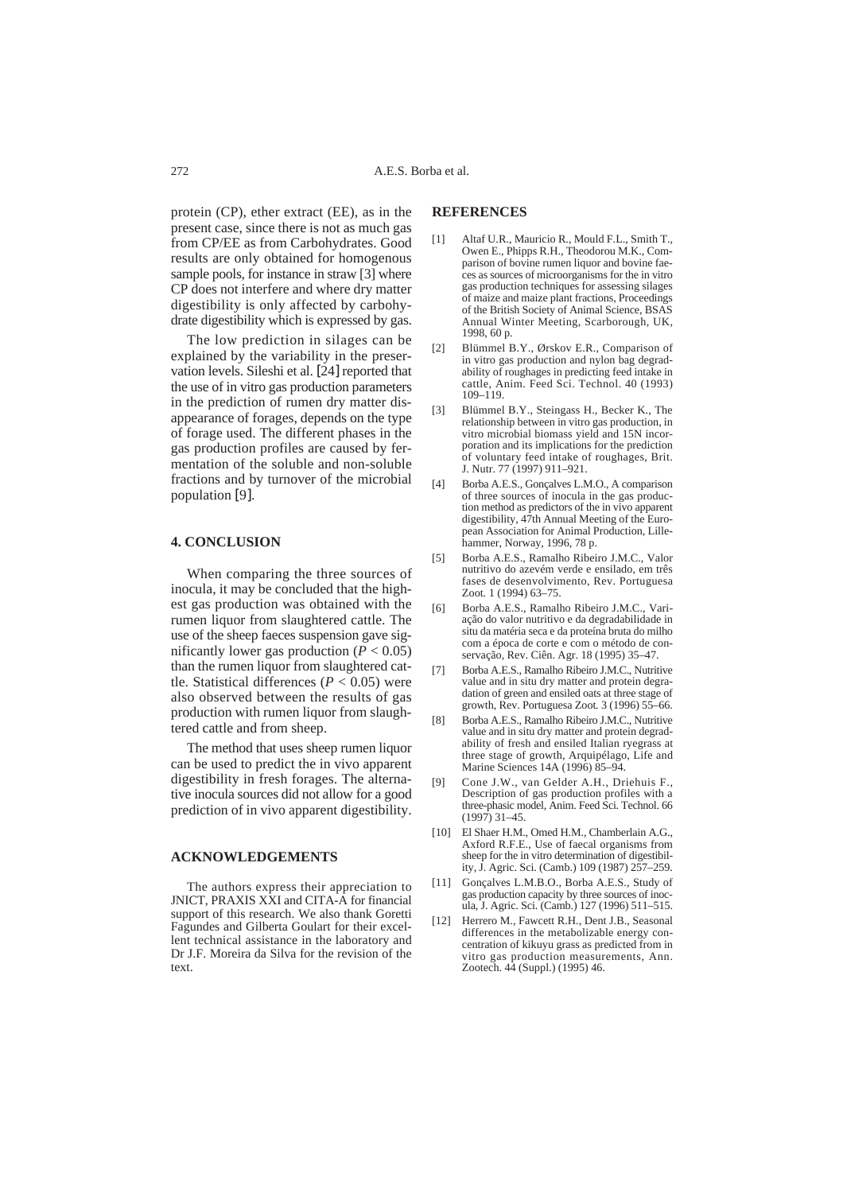protein (CP), ether extract (EE), as in the present case, since there is not as much gas from CP/EE as from Carbohydrates. Good results are only obtained for homogenous sample pools, for instance in straw [3] where CP does not interfere and where dry matter digestibility is only affected by carbohydrate digestibility which is expressed by gas.

The low prediction in silages can be explained by the variability in the preservation levels. Sileshi et al. [24] reported that the use of in vitro gas production parameters in the prediction of rumen dry matter disappearance of forages, depends on the type of forage used. The different phases in the gas production profiles are caused by fermentation of the soluble and non-soluble fractions and by turnover of the microbial population [9].

#### **4. CONCLUSION**

When comparing the three sources of inocula, it may be concluded that the highest gas production was obtained with the rumen liquor from slaughtered cattle. The use of the sheep faeces suspension gave significantly lower gas production  $(P < 0.05)$ than the rumen liquor from slaughtered cattle. Statistical differences ( $P < 0.05$ ) were also observed between the results of gas production with rumen liquor from slaughtered cattle and from sheep.

The method that uses sheep rumen liquor can be used to predict the in vivo apparent digestibility in fresh forages. The alternative inocula sources did not allow for a good prediction of in vivo apparent digestibility.

#### **ACKNOWLEDGEMENTS**

The authors express their appreciation to JNICT, PRAXIS XXI and CITA-A for financial support of this research. We also thank Goretti Fagundes and Gilberta Goulart for their excellent technical assistance in the laboratory and Dr J.F. Moreira da Silva for the revision of the text.

## **REFERENCES**

- [1] Altaf U.R., Mauricio R., Mould F.L., Smith T., Owen E., Phipps R.H., Theodorou M.K., Comparison of bovine rumen liquor and bovine faeces as sources of microorganisms for the in vitro gas production techniques for assessing silages of maize and maize plant fractions, Proceedings of the British Society of Animal Science, BSAS Annual Winter Meeting, Scarborough, UK, 1998, 60 p.
- [2] Blümmel B.Y., Ørskov E.R., Comparison of in vitro gas production and nylon bag degradability of roughages in predicting feed intake in cattle, Anim. Feed Sci. Technol. 40 (1993) 109–119.
- [3] Blümmel B.Y., Steingass H., Becker K., The relationship between in vitro gas production, in vitro microbial biomass yield and 15N incorporation and its implications for the prediction of voluntary feed intake of roughages, Brit. J. Nutr. 77 (1997) 911–921.
- [4] Borba A.E.S., Gonçalves L.M.O., A comparison of three sources of inocula in the gas production method as predictors of the in vivo apparent digestibility, 47th Annual Meeting of the European Association for Animal Production, Lillehammer, Norway, 1996, 78 p.
- [5] Borba A.E.S., Ramalho Ribeiro J.M.C., Valor nutritivo do azevém verde e ensilado, em três fases de desenvolvimento, Rev. Portuguesa Zoot*.* 1 (1994) 63–75.
- [6] Borba A.E.S., Ramalho Ribeiro J.M.C., Variação do valor nutritivo e da degradabilidade in situ da matéria seca e da proteína bruta do milho com a época de corte e com o método de conservação*,* Rev. Ciên. Agr. 18 (1995) 35–47.
- [7] Borba A.E.S., Ramalho Ribeiro J.M.C., Nutritive value and in situ dry matter and protein degradation of green and ensiled oats at three stage of growth, Rev. Portuguesa Zoot*.* 3 (1996) 55–66.
- [8] Borba A.E.S., Ramalho Ribeiro J.M.C., Nutritive value and in situ dry matter and protein degradability of fresh and ensiled Italian ryegrass at three stage of growth, Arquipélago, Life and Marine Sciences 14A (1996) 85–94.
- [9] Cone J.W., van Gelder A.H., Driehuis F., Description of gas production profiles with a three-phasic model, Anim. Feed Sci. Technol. 66 (1997) 31–45.
- [10] El Shaer H.M., Omed H.M., Chamberlain A.G., Axford R.F.E., Use of faecal organisms from sheep for the in vitro determination of digestibility, J. Agric. Sci. (Camb.) 109 (1987) 257–259.
- [11] Gonçalves L.M.B.O., Borba A.E.S., Study of gas production capacity by three sources of inocula, J. Agric. Sci. (Camb.) 127 (1996) 511–515.
- [12] Herrero M., Fawcett R.H., Dent J.B., Seasonal differences in the metabolizable energy concentration of kikuyu grass as predicted from in vitro gas production measurements, Ann. Zootech. 44 (Suppl.) (1995) 46.